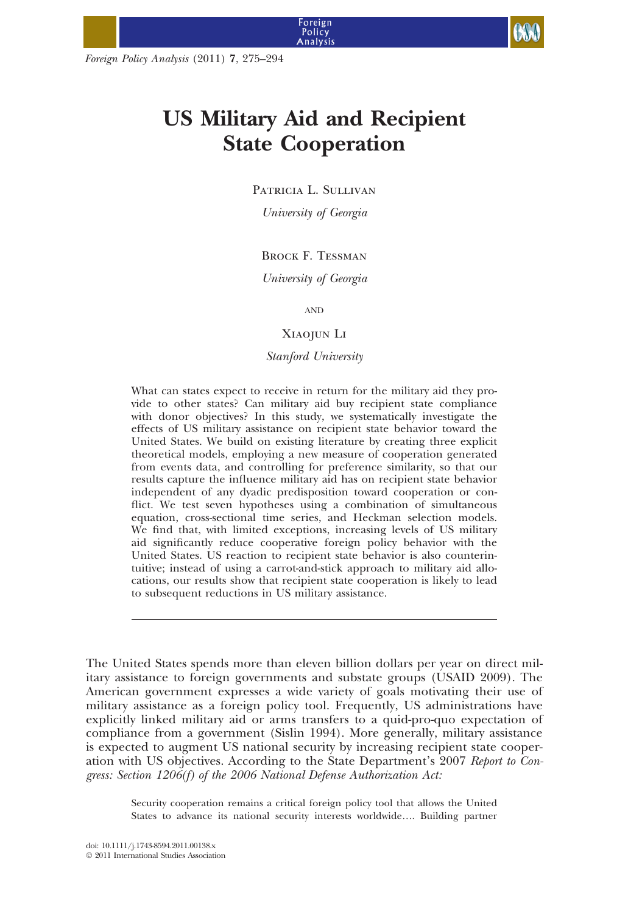# US Military Aid and Recipient State Cooperation

Policy Analysis

Patricia L. Sullivan

University of Georgia

Brock F. Tessman

University of Georgia

AND

Xiaojun Li

Stanford University

What can states expect to receive in return for the military aid they provide to other states? Can military aid buy recipient state compliance with donor objectives? In this study, we systematically investigate the effects of US military assistance on recipient state behavior toward the United States. We build on existing literature by creating three explicit theoretical models, employing a new measure of cooperation generated from events data, and controlling for preference similarity, so that our results capture the influence military aid has on recipient state behavior independent of any dyadic predisposition toward cooperation or conflict. We test seven hypotheses using a combination of simultaneous equation, cross-sectional time series, and Heckman selection models. We find that, with limited exceptions, increasing levels of US military aid significantly reduce cooperative foreign policy behavior with the United States. US reaction to recipient state behavior is also counterintuitive; instead of using a carrot-and-stick approach to military aid allocations, our results show that recipient state cooperation is likely to lead to subsequent reductions in US military assistance.

The United States spends more than eleven billion dollars per year on direct military assistance to foreign governments and substate groups (USAID 2009). The American government expresses a wide variety of goals motivating their use of military assistance as a foreign policy tool. Frequently, US administrations have explicitly linked military aid or arms transfers to a quid-pro-quo expectation of compliance from a government (Sislin 1994). More generally, military assistance is expected to augment US national security by increasing recipient state cooperation with US objectives. According to the State Department's 2007 Report to Congress: Section 1206(f) of the 2006 National Defense Authorization Act:

Security cooperation remains a critical foreign policy tool that allows the United States to advance its national security interests worldwide…. Building partner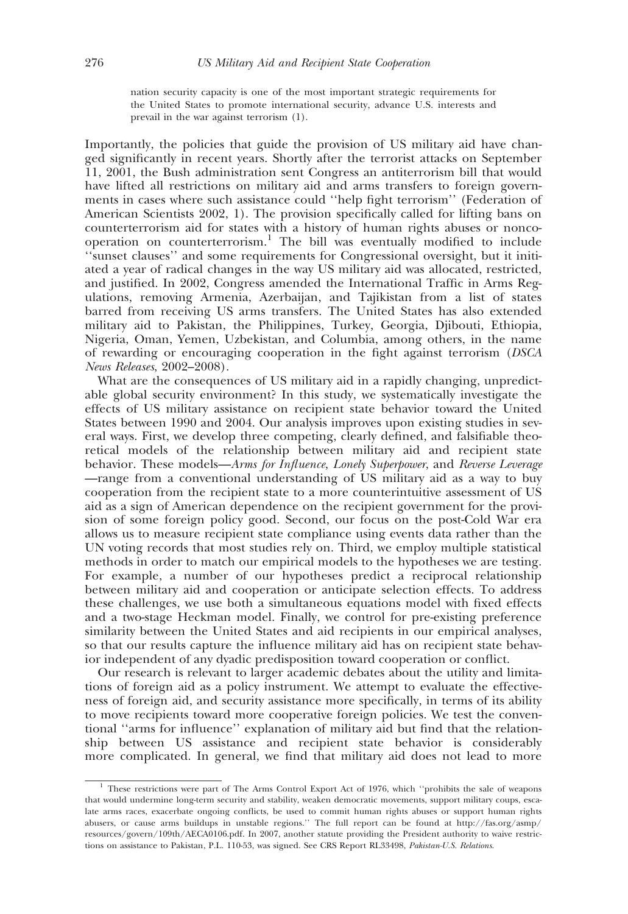nation security capacity is one of the most important strategic requirements for the United States to promote international security, advance U.S. interests and prevail in the war against terrorism (1).

Importantly, the policies that guide the provision of US military aid have changed significantly in recent years. Shortly after the terrorist attacks on September 11, 2001, the Bush administration sent Congress an antiterrorism bill that would have lifted all restrictions on military aid and arms transfers to foreign governments in cases where such assistance could ''help fight terrorism'' (Federation of American Scientists 2002, 1). The provision specifically called for lifting bans on counterterrorism aid for states with a history of human rights abuses or noncooperation on counterterrorism.<sup>1</sup> The bill was eventually modified to include ''sunset clauses'' and some requirements for Congressional oversight, but it initiated a year of radical changes in the way US military aid was allocated, restricted, and justified. In 2002, Congress amended the International Traffic in Arms Regulations, removing Armenia, Azerbaijan, and Tajikistan from a list of states barred from receiving US arms transfers. The United States has also extended military aid to Pakistan, the Philippines, Turkey, Georgia, Djibouti, Ethiopia, Nigeria, Oman, Yemen, Uzbekistan, and Columbia, among others, in the name of rewarding or encouraging cooperation in the fight against terrorism (DSCA News Releases, 2002–2008).

What are the consequences of US military aid in a rapidly changing, unpredictable global security environment? In this study, we systematically investigate the effects of US military assistance on recipient state behavior toward the United States between 1990 and 2004. Our analysis improves upon existing studies in several ways. First, we develop three competing, clearly defined, and falsifiable theoretical models of the relationship between military aid and recipient state behavior. These models—Arms for Influence, Lonely Superpower, and Reverse Leverage —range from a conventional understanding of US military aid as a way to buy cooperation from the recipient state to a more counterintuitive assessment of US aid as a sign of American dependence on the recipient government for the provision of some foreign policy good. Second, our focus on the post-Cold War era allows us to measure recipient state compliance using events data rather than the UN voting records that most studies rely on. Third, we employ multiple statistical methods in order to match our empirical models to the hypotheses we are testing. For example, a number of our hypotheses predict a reciprocal relationship between military aid and cooperation or anticipate selection effects. To address these challenges, we use both a simultaneous equations model with fixed effects and a two-stage Heckman model. Finally, we control for pre-existing preference similarity between the United States and aid recipients in our empirical analyses, so that our results capture the influence military aid has on recipient state behavior independent of any dyadic predisposition toward cooperation or conflict.

Our research is relevant to larger academic debates about the utility and limitations of foreign aid as a policy instrument. We attempt to evaluate the effectiveness of foreign aid, and security assistance more specifically, in terms of its ability to move recipients toward more cooperative foreign policies. We test the conventional ''arms for influence'' explanation of military aid but find that the relationship between US assistance and recipient state behavior is considerably more complicated. In general, we find that military aid does not lead to more

<sup>&</sup>lt;sup>1</sup> These restrictions were part of The Arms Control Export Act of 1976, which "prohibits the sale of weapons that would undermine long-term security and stability, weaken democratic movements, support military coups, escalate arms races, exacerbate ongoing conflicts, be used to commit human rights abuses or support human rights abusers, or cause arms buildups in unstable regions.'' The full report can be found at http://fas.org/asmp/ resources/govern/109th/AECA0106.pdf. In 2007, another statute providing the President authority to waive restrictions on assistance to Pakistan, P.L. 110-53, was signed. See CRS Report RL33498, Pakistan-U.S. Relations.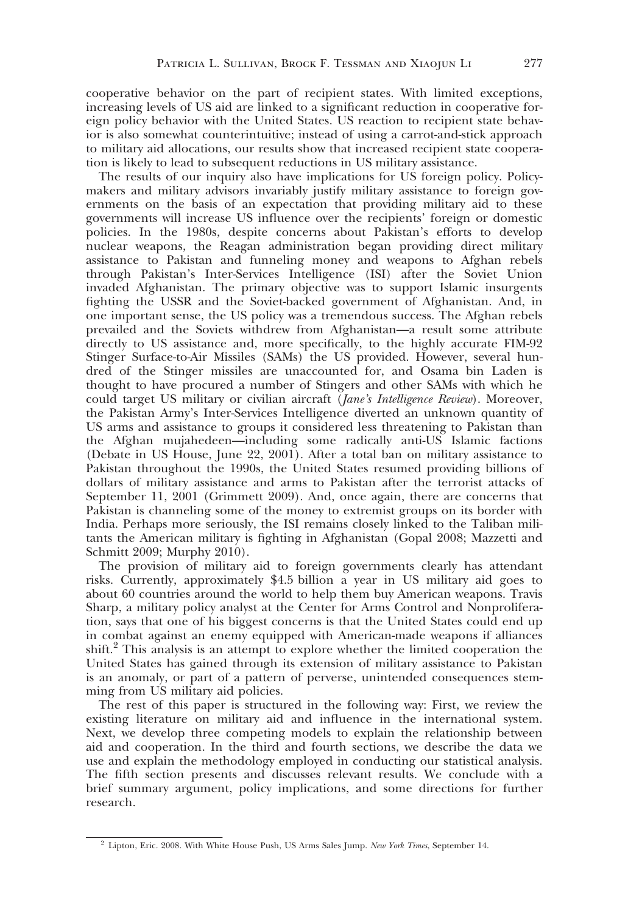cooperative behavior on the part of recipient states. With limited exceptions, increasing levels of US aid are linked to a significant reduction in cooperative foreign policy behavior with the United States. US reaction to recipient state behavior is also somewhat counterintuitive; instead of using a carrot-and-stick approach to military aid allocations, our results show that increased recipient state cooperation is likely to lead to subsequent reductions in US military assistance.

The results of our inquiry also have implications for US foreign policy. Policymakers and military advisors invariably justify military assistance to foreign governments on the basis of an expectation that providing military aid to these governments will increase US influence over the recipients' foreign or domestic policies. In the 1980s, despite concerns about Pakistan's efforts to develop nuclear weapons, the Reagan administration began providing direct military assistance to Pakistan and funneling money and weapons to Afghan rebels through Pakistan's Inter-Services Intelligence (ISI) after the Soviet Union invaded Afghanistan. The primary objective was to support Islamic insurgents fighting the USSR and the Soviet-backed government of Afghanistan. And, in one important sense, the US policy was a tremendous success. The Afghan rebels prevailed and the Soviets withdrew from Afghanistan—a result some attribute directly to US assistance and, more specifically, to the highly accurate FIM-92 Stinger Surface-to-Air Missiles (SAMs) the US provided. However, several hundred of the Stinger missiles are unaccounted for, and Osama bin Laden is thought to have procured a number of Stingers and other SAMs with which he could target US military or civilian aircraft (Jane's Intelligence Review). Moreover, the Pakistan Army's Inter-Services Intelligence diverted an unknown quantity of US arms and assistance to groups it considered less threatening to Pakistan than the Afghan mujahedeen—including some radically anti-US Islamic factions (Debate in US House, June 22, 2001). After a total ban on military assistance to Pakistan throughout the 1990s, the United States resumed providing billions of dollars of military assistance and arms to Pakistan after the terrorist attacks of September 11, 2001 (Grimmett 2009). And, once again, there are concerns that Pakistan is channeling some of the money to extremist groups on its border with India. Perhaps more seriously, the ISI remains closely linked to the Taliban militants the American military is fighting in Afghanistan (Gopal 2008; Mazzetti and Schmitt 2009; Murphy 2010).

The provision of military aid to foreign governments clearly has attendant risks. Currently, approximately \$4.5 billion a year in US military aid goes to about 60 countries around the world to help them buy American weapons. Travis Sharp, a military policy analyst at the Center for Arms Control and Nonproliferation, says that one of his biggest concerns is that the United States could end up in combat against an enemy equipped with American-made weapons if alliances shift.<sup>2</sup> This analysis is an attempt to explore whether the limited cooperation the United States has gained through its extension of military assistance to Pakistan is an anomaly, or part of a pattern of perverse, unintended consequences stemming from US military aid policies.

The rest of this paper is structured in the following way: First, we review the existing literature on military aid and influence in the international system. Next, we develop three competing models to explain the relationship between aid and cooperation. In the third and fourth sections, we describe the data we use and explain the methodology employed in conducting our statistical analysis. The fifth section presents and discusses relevant results. We conclude with a brief summary argument, policy implications, and some directions for further research.

 $2$  Lipton, Eric. 2008. With White House Push, US Arms Sales Jump. New York Times, September 14.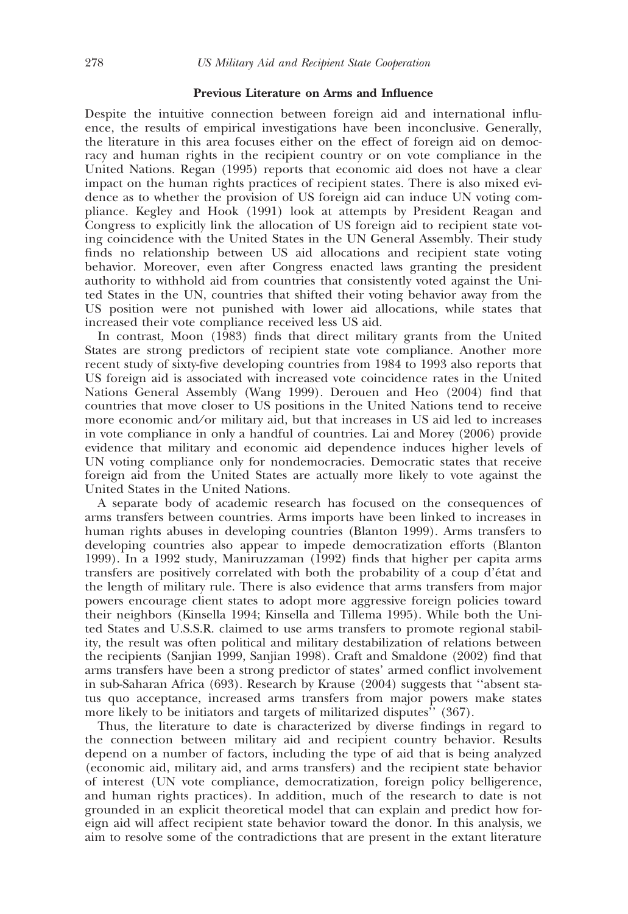# Previous Literature on Arms and Influence

Despite the intuitive connection between foreign aid and international influence, the results of empirical investigations have been inconclusive. Generally, the literature in this area focuses either on the effect of foreign aid on democracy and human rights in the recipient country or on vote compliance in the United Nations. Regan (1995) reports that economic aid does not have a clear impact on the human rights practices of recipient states. There is also mixed evidence as to whether the provision of US foreign aid can induce UN voting compliance. Kegley and Hook (1991) look at attempts by President Reagan and Congress to explicitly link the allocation of US foreign aid to recipient state voting coincidence with the United States in the UN General Assembly. Their study finds no relationship between US aid allocations and recipient state voting behavior. Moreover, even after Congress enacted laws granting the president authority to withhold aid from countries that consistently voted against the United States in the UN, countries that shifted their voting behavior away from the US position were not punished with lower aid allocations, while states that increased their vote compliance received less US aid.

In contrast, Moon (1983) finds that direct military grants from the United States are strong predictors of recipient state vote compliance. Another more recent study of sixty-five developing countries from 1984 to 1993 also reports that US foreign aid is associated with increased vote coincidence rates in the United Nations General Assembly (Wang 1999). Derouen and Heo (2004) find that countries that move closer to US positions in the United Nations tend to receive more economic and⁄ or military aid, but that increases in US aid led to increases in vote compliance in only a handful of countries. Lai and Morey (2006) provide evidence that military and economic aid dependence induces higher levels of UN voting compliance only for nondemocracies. Democratic states that receive foreign aid from the United States are actually more likely to vote against the United States in the United Nations.

A separate body of academic research has focused on the consequences of arms transfers between countries. Arms imports have been linked to increases in human rights abuses in developing countries (Blanton 1999). Arms transfers to developing countries also appear to impede democratization efforts (Blanton 1999). In a 1992 study, Maniruzzaman (1992) finds that higher per capita arms transfers are positively correlated with both the probability of a coup d'état and the length of military rule. There is also evidence that arms transfers from major powers encourage client states to adopt more aggressive foreign policies toward their neighbors (Kinsella 1994; Kinsella and Tillema 1995). While both the United States and U.S.S.R. claimed to use arms transfers to promote regional stability, the result was often political and military destabilization of relations between the recipients (Sanjian 1999, Sanjian 1998). Craft and Smaldone (2002) find that arms transfers have been a strong predictor of states' armed conflict involvement in sub-Saharan Africa (693). Research by Krause (2004) suggests that ''absent status quo acceptance, increased arms transfers from major powers make states more likely to be initiators and targets of militarized disputes<sup>5</sup><sup>7</sup> (367).

Thus, the literature to date is characterized by diverse findings in regard to the connection between military aid and recipient country behavior. Results depend on a number of factors, including the type of aid that is being analyzed (economic aid, military aid, and arms transfers) and the recipient state behavior of interest (UN vote compliance, democratization, foreign policy belligerence, and human rights practices). In addition, much of the research to date is not grounded in an explicit theoretical model that can explain and predict how foreign aid will affect recipient state behavior toward the donor. In this analysis, we aim to resolve some of the contradictions that are present in the extant literature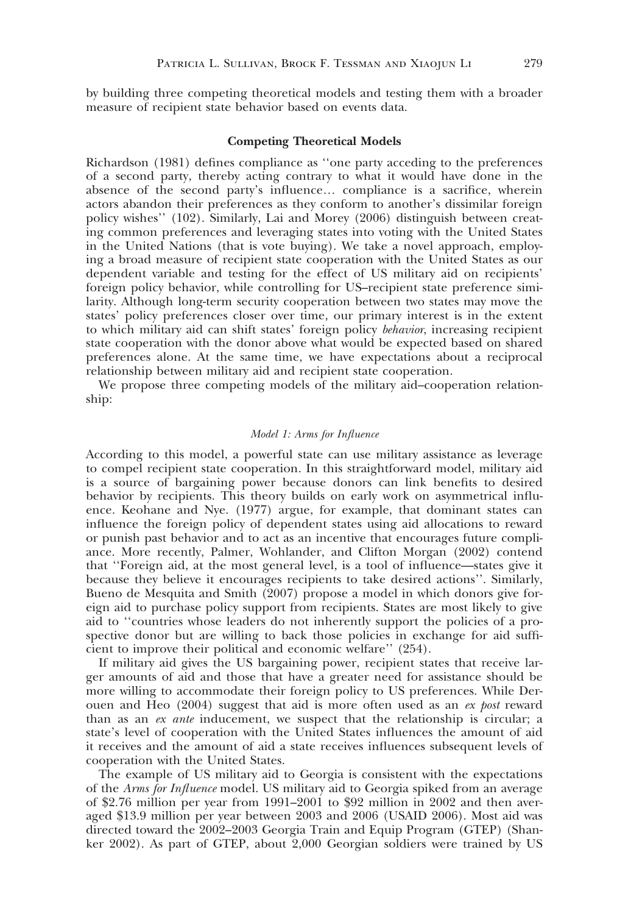by building three competing theoretical models and testing them with a broader measure of recipient state behavior based on events data.

#### Competing Theoretical Models

Richardson (1981) defines compliance as ''one party acceding to the preferences of a second party, thereby acting contrary to what it would have done in the absence of the second party's influence… compliance is a sacrifice, wherein actors abandon their preferences as they conform to another's dissimilar foreign policy wishes'' (102). Similarly, Lai and Morey (2006) distinguish between creating common preferences and leveraging states into voting with the United States in the United Nations (that is vote buying). We take a novel approach, employing a broad measure of recipient state cooperation with the United States as our dependent variable and testing for the effect of US military aid on recipients' foreign policy behavior, while controlling for US–recipient state preference similarity. Although long-term security cooperation between two states may move the states' policy preferences closer over time, our primary interest is in the extent to which military aid can shift states' foreign policy behavior, increasing recipient state cooperation with the donor above what would be expected based on shared preferences alone. At the same time, we have expectations about a reciprocal relationship between military aid and recipient state cooperation.

We propose three competing models of the military aid–cooperation relationship:

## Model 1: Arms for Influence

According to this model, a powerful state can use military assistance as leverage to compel recipient state cooperation. In this straightforward model, military aid is a source of bargaining power because donors can link benefits to desired behavior by recipients. This theory builds on early work on asymmetrical influence. Keohane and Nye. (1977) argue, for example, that dominant states can influence the foreign policy of dependent states using aid allocations to reward or punish past behavior and to act as an incentive that encourages future compliance. More recently, Palmer, Wohlander, and Clifton Morgan (2002) contend that ''Foreign aid, at the most general level, is a tool of influence—states give it because they believe it encourages recipients to take desired actions''. Similarly, Bueno de Mesquita and Smith (2007) propose a model in which donors give foreign aid to purchase policy support from recipients. States are most likely to give aid to ''countries whose leaders do not inherently support the policies of a prospective donor but are willing to back those policies in exchange for aid sufficient to improve their political and economic welfare'' (254).

If military aid gives the US bargaining power, recipient states that receive larger amounts of aid and those that have a greater need for assistance should be more willing to accommodate their foreign policy to US preferences. While Derouen and Heo (2004) suggest that aid is more often used as an ex post reward than as an ex ante inducement, we suspect that the relationship is circular; a state's level of cooperation with the United States influences the amount of aid it receives and the amount of aid a state receives influences subsequent levels of cooperation with the United States.

The example of US military aid to Georgia is consistent with the expectations of the Arms for Influence model. US military aid to Georgia spiked from an average of \$2.76 million per year from 1991–2001 to \$92 million in 2002 and then averaged \$13.9 million per year between 2003 and 2006 (USAID 2006). Most aid was directed toward the 2002–2003 Georgia Train and Equip Program (GTEP) (Shanker 2002). As part of GTEP, about 2,000 Georgian soldiers were trained by US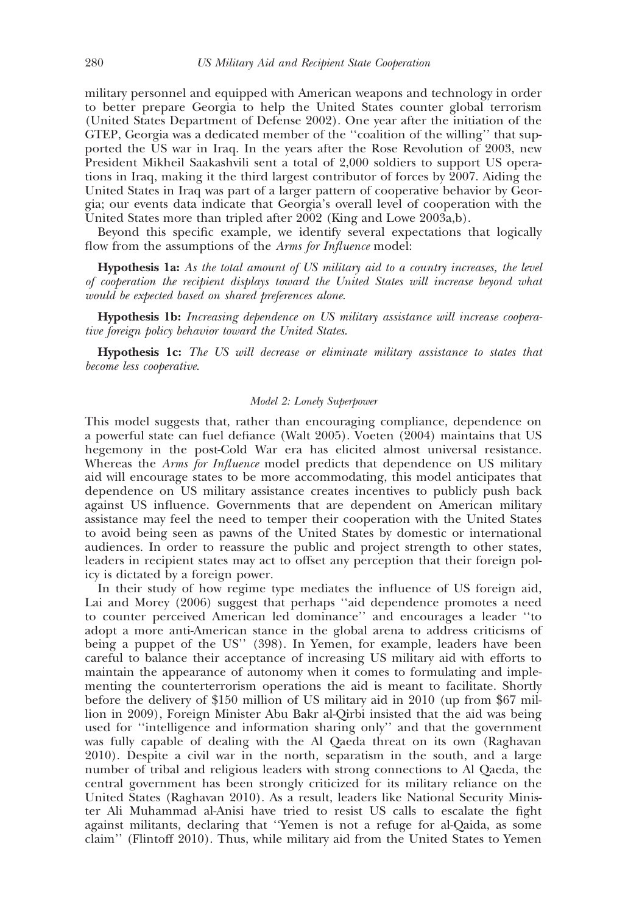military personnel and equipped with American weapons and technology in order to better prepare Georgia to help the United States counter global terrorism (United States Department of Defense 2002). One year after the initiation of the GTEP, Georgia was a dedicated member of the ''coalition of the willing'' that supported the US war in Iraq. In the years after the Rose Revolution of 2003, new President Mikheil Saakashvili sent a total of 2,000 soldiers to support US operations in Iraq, making it the third largest contributor of forces by 2007. Aiding the United States in Iraq was part of a larger pattern of cooperative behavior by Georgia; our events data indicate that Georgia's overall level of cooperation with the United States more than tripled after  $2002$  (King and Lowe  $200\overline{3}a,b$ ).

Beyond this specific example, we identify several expectations that logically flow from the assumptions of the Arms for Influence model:

Hypothesis 1a: As the total amount of US military aid to a country increases, the level of cooperation the recipient displays toward the United States will increase beyond what would be expected based on shared preferences alone.

Hypothesis 1b: Increasing dependence on US military assistance will increase cooperative foreign policy behavior toward the United States.

Hypothesis 1c: The US will decrease or eliminate military assistance to states that become less cooperative.

#### Model 2: Lonely Superpower

This model suggests that, rather than encouraging compliance, dependence on a powerful state can fuel defiance (Walt 2005). Voeten (2004) maintains that US hegemony in the post-Cold War era has elicited almost universal resistance. Whereas the Arms for Influence model predicts that dependence on US military aid will encourage states to be more accommodating, this model anticipates that dependence on US military assistance creates incentives to publicly push back against US influence. Governments that are dependent on American military assistance may feel the need to temper their cooperation with the United States to avoid being seen as pawns of the United States by domestic or international audiences. In order to reassure the public and project strength to other states, leaders in recipient states may act to offset any perception that their foreign policy is dictated by a foreign power.

In their study of how regime type mediates the influence of US foreign aid, Lai and Morey (2006) suggest that perhaps ''aid dependence promotes a need to counter perceived American led dominance'' and encourages a leader ''to adopt a more anti-American stance in the global arena to address criticisms of being a puppet of the US'' (398). In Yemen, for example, leaders have been careful to balance their acceptance of increasing US military aid with efforts to maintain the appearance of autonomy when it comes to formulating and implementing the counterterrorism operations the aid is meant to facilitate. Shortly before the delivery of \$150 million of US military aid in 2010 (up from \$67 million in 2009), Foreign Minister Abu Bakr al-Qirbi insisted that the aid was being used for ''intelligence and information sharing only'' and that the government was fully capable of dealing with the Al Qaeda threat on its own (Raghavan 2010). Despite a civil war in the north, separatism in the south, and a large number of tribal and religious leaders with strong connections to Al Qaeda, the central government has been strongly criticized for its military reliance on the United States (Raghavan 2010). As a result, leaders like National Security Minister Ali Muhammad al-Anisi have tried to resist US calls to escalate the fight against militants, declaring that ''Yemen is not a refuge for al-Qaida, as some claim'' (Flintoff 2010). Thus, while military aid from the United States to Yemen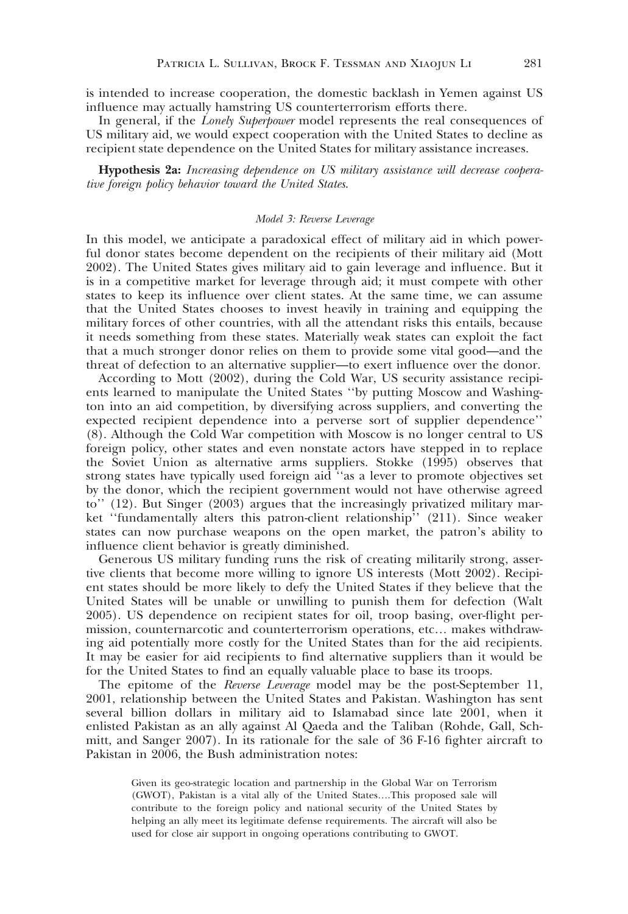is intended to increase cooperation, the domestic backlash in Yemen against US influence may actually hamstring US counterterrorism efforts there.

In general, if the Lonely Superpower model represents the real consequences of US military aid, we would expect cooperation with the United States to decline as recipient state dependence on the United States for military assistance increases.

Hypothesis 2a: Increasing dependence on US military assistance will decrease cooperative foreign policy behavior toward the United States.

#### Model 3: Reverse Leverage

In this model, we anticipate a paradoxical effect of military aid in which powerful donor states become dependent on the recipients of their military aid (Mott 2002). The United States gives military aid to gain leverage and influence. But it is in a competitive market for leverage through aid; it must compete with other states to keep its influence over client states. At the same time, we can assume that the United States chooses to invest heavily in training and equipping the military forces of other countries, with all the attendant risks this entails, because it needs something from these states. Materially weak states can exploit the fact that a much stronger donor relies on them to provide some vital good—and the threat of defection to an alternative supplier—to exert influence over the donor.

According to Mott (2002), during the Cold War, US security assistance recipients learned to manipulate the United States ''by putting Moscow and Washington into an aid competition, by diversifying across suppliers, and converting the expected recipient dependence into a perverse sort of supplier dependence'' (8). Although the Cold War competition with Moscow is no longer central to US foreign policy, other states and even nonstate actors have stepped in to replace the Soviet Union as alternative arms suppliers. Stokke (1995) observes that strong states have typically used foreign aid ''as a lever to promote objectives set by the donor, which the recipient government would not have otherwise agreed to'' (12). But Singer (2003) argues that the increasingly privatized military market ''fundamentally alters this patron-client relationship'' (211). Since weaker states can now purchase weapons on the open market, the patron's ability to influence client behavior is greatly diminished.

Generous US military funding runs the risk of creating militarily strong, assertive clients that become more willing to ignore US interests (Mott 2002). Recipient states should be more likely to defy the United States if they believe that the United States will be unable or unwilling to punish them for defection (Walt 2005). US dependence on recipient states for oil, troop basing, over-flight permission, counternarcotic and counterterrorism operations, etc… makes withdrawing aid potentially more costly for the United States than for the aid recipients. It may be easier for aid recipients to find alternative suppliers than it would be for the United States to find an equally valuable place to base its troops.

The epitome of the Reverse Leverage model may be the post-September 11, 2001, relationship between the United States and Pakistan. Washington has sent several billion dollars in military aid to Islamabad since late 2001, when it enlisted Pakistan as an ally against Al Qaeda and the Taliban (Rohde, Gall, Schmitt, and Sanger 2007). In its rationale for the sale of 36 F-16 fighter aircraft to Pakistan in 2006, the Bush administration notes:

Given its geo-strategic location and partnership in the Global War on Terrorism (GWOT), Pakistan is a vital ally of the United States….This proposed sale will contribute to the foreign policy and national security of the United States by helping an ally meet its legitimate defense requirements. The aircraft will also be used for close air support in ongoing operations contributing to GWOT.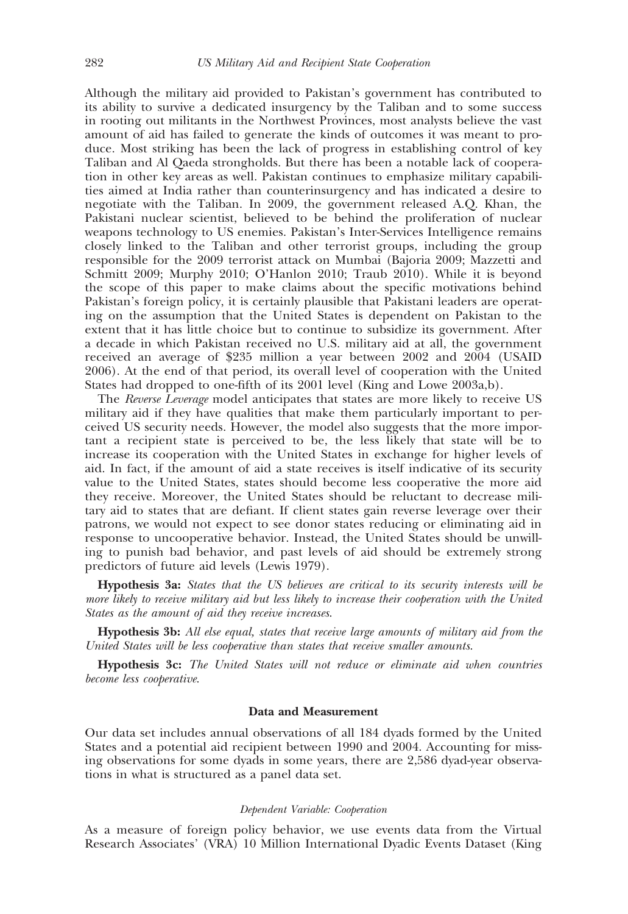Although the military aid provided to Pakistan's government has contributed to its ability to survive a dedicated insurgency by the Taliban and to some success in rooting out militants in the Northwest Provinces, most analysts believe the vast amount of aid has failed to generate the kinds of outcomes it was meant to produce. Most striking has been the lack of progress in establishing control of key Taliban and Al Qaeda strongholds. But there has been a notable lack of cooperation in other key areas as well. Pakistan continues to emphasize military capabilities aimed at India rather than counterinsurgency and has indicated a desire to negotiate with the Taliban. In 2009, the government released A.Q. Khan, the Pakistani nuclear scientist, believed to be behind the proliferation of nuclear weapons technology to US enemies. Pakistan's Inter-Services Intelligence remains closely linked to the Taliban and other terrorist groups, including the group responsible for the 2009 terrorist attack on Mumbai (Bajoria 2009; Mazzetti and Schmitt 2009; Murphy 2010; O'Hanlon 2010; Traub 2010). While it is beyond the scope of this paper to make claims about the specific motivations behind Pakistan's foreign policy, it is certainly plausible that Pakistani leaders are operating on the assumption that the United States is dependent on Pakistan to the extent that it has little choice but to continue to subsidize its government. After a decade in which Pakistan received no U.S. military aid at all, the government received an average of \$235 million a year between 2002 and 2004 (USAID 2006). At the end of that period, its overall level of cooperation with the United States had dropped to one-fifth of its 2001 level (King and Lowe 2003a,b).

The Reverse Leverage model anticipates that states are more likely to receive US military aid if they have qualities that make them particularly important to perceived US security needs. However, the model also suggests that the more important a recipient state is perceived to be, the less likely that state will be to increase its cooperation with the United States in exchange for higher levels of aid. In fact, if the amount of aid a state receives is itself indicative of its security value to the United States, states should become less cooperative the more aid they receive. Moreover, the United States should be reluctant to decrease military aid to states that are defiant. If client states gain reverse leverage over their patrons, we would not expect to see donor states reducing or eliminating aid in response to uncooperative behavior. Instead, the United States should be unwilling to punish bad behavior, and past levels of aid should be extremely strong predictors of future aid levels (Lewis 1979).

Hypothesis 3a: States that the US believes are critical to its security interests will be more likely to receive military aid but less likely to increase their cooperation with the United States as the amount of aid they receive increases.

Hypothesis 3b: All else equal, states that receive large amounts of military aid from the United States will be less cooperative than states that receive smaller amounts.

Hypothesis 3c: The United States will not reduce or eliminate aid when countries become less cooperative.

# Data and Measurement

Our data set includes annual observations of all 184 dyads formed by the United States and a potential aid recipient between 1990 and 2004. Accounting for missing observations for some dyads in some years, there are 2,586 dyad-year observations in what is structured as a panel data set.

#### Dependent Variable: Cooperation

As a measure of foreign policy behavior, we use events data from the Virtual Research Associates' (VRA) 10 Million International Dyadic Events Dataset (King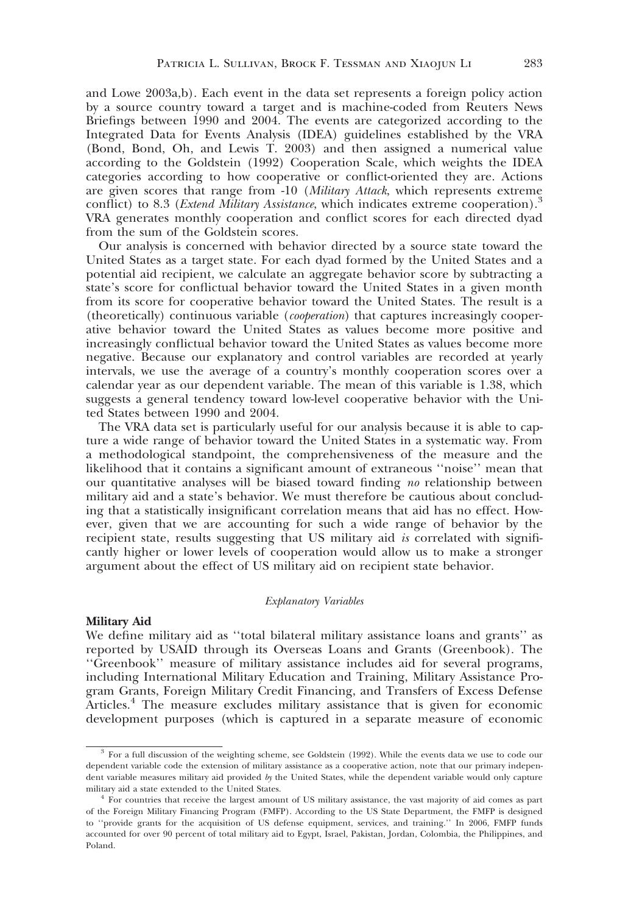and Lowe 2003a,b). Each event in the data set represents a foreign policy action by a source country toward a target and is machine-coded from Reuters News Briefings between 1990 and 2004. The events are categorized according to the Integrated Data for Events Analysis (IDEA) guidelines established by the VRA (Bond, Bond, Oh, and Lewis T. 2003) and then assigned a numerical value according to the Goldstein (1992) Cooperation Scale, which weights the IDEA categories according to how cooperative or conflict-oriented they are. Actions are given scores that range from -10 (Military Attack, which represents extreme conflict) to 8.3 (*Extend Military Assistance*, which indicates extreme cooperation).<sup>3</sup> VRA generates monthly cooperation and conflict scores for each directed dyad from the sum of the Goldstein scores.

Our analysis is concerned with behavior directed by a source state toward the United States as a target state. For each dyad formed by the United States and a potential aid recipient, we calculate an aggregate behavior score by subtracting a state's score for conflictual behavior toward the United States in a given month from its score for cooperative behavior toward the United States. The result is a (theoretically) continuous variable (cooperation) that captures increasingly cooperative behavior toward the United States as values become more positive and increasingly conflictual behavior toward the United States as values become more negative. Because our explanatory and control variables are recorded at yearly intervals, we use the average of a country's monthly cooperation scores over a calendar year as our dependent variable. The mean of this variable is 1.38, which suggests a general tendency toward low-level cooperative behavior with the United States between 1990 and 2004.

The VRA data set is particularly useful for our analysis because it is able to capture a wide range of behavior toward the United States in a systematic way. From a methodological standpoint, the comprehensiveness of the measure and the likelihood that it contains a significant amount of extraneous ''noise'' mean that our quantitative analyses will be biased toward finding no relationship between military aid and a state's behavior. We must therefore be cautious about concluding that a statistically insignificant correlation means that aid has no effect. However, given that we are accounting for such a wide range of behavior by the recipient state, results suggesting that US military aid is correlated with significantly higher or lower levels of cooperation would allow us to make a stronger argument about the effect of US military aid on recipient state behavior.

# Explanatory Variables

#### Military Aid

We define military aid as ''total bilateral military assistance loans and grants'' as reported by USAID through its Overseas Loans and Grants (Greenbook). The ''Greenbook'' measure of military assistance includes aid for several programs, including International Military Education and Training, Military Assistance Program Grants, Foreign Military Credit Financing, and Transfers of Excess Defense Articles.<sup>4</sup> The measure excludes military assistance that is given for economic development purposes (which is captured in a separate measure of economic

<sup>3</sup> For a full discussion of the weighting scheme, see Goldstein (1992). While the events data we use to code our dependent variable code the extension of military assistance as a cooperative action, note that our primary independent variable measures military aid provided by the United States, while the dependent variable would only capture military aid a state extended to the United States.

<sup>4</sup> For countries that receive the largest amount of US military assistance, the vast majority of aid comes as part of the Foreign Military Financing Program (FMFP). According to the US State Department, the FMFP is designed to ''provide grants for the acquisition of US defense equipment, services, and training.'' In 2006, FMFP funds accounted for over 90 percent of total military aid to Egypt, Israel, Pakistan, Jordan, Colombia, the Philippines, and Poland.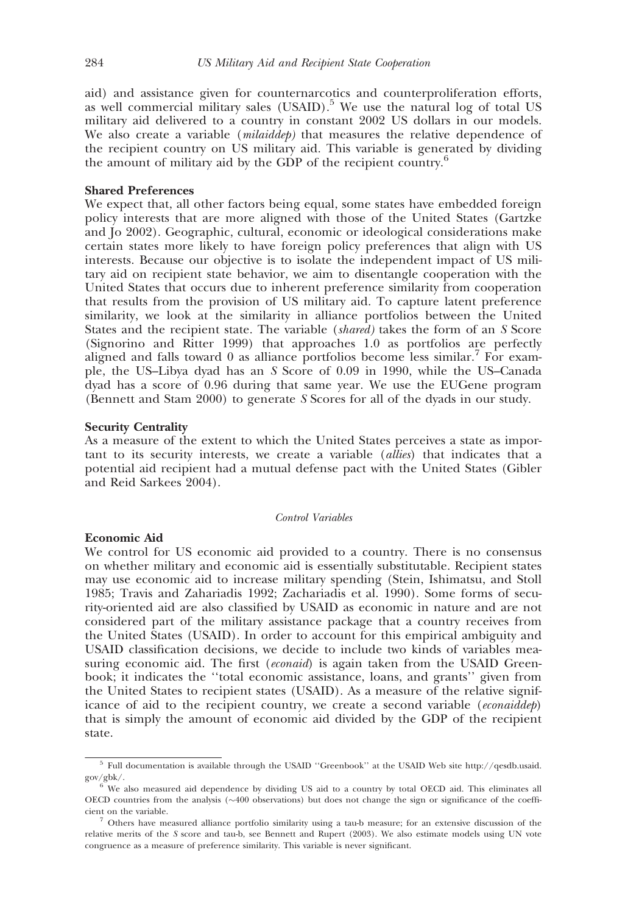aid) and assistance given for counternarcotics and counterproliferation efforts, as well commercial military sales  $(USAID)$ .<sup>5</sup> We use the natural log of total US military aid delivered to a country in constant 2002 US dollars in our models. We also create a variable (*milaiddep*) that measures the relative dependence of the recipient country on US military aid. This variable is generated by dividing the amount of military aid by the GDP of the recipient country.<sup>6</sup>

#### Shared Preferences

We expect that, all other factors being equal, some states have embedded foreign policy interests that are more aligned with those of the United States (Gartzke and Jo 2002). Geographic, cultural, economic or ideological considerations make certain states more likely to have foreign policy preferences that align with US interests. Because our objective is to isolate the independent impact of US military aid on recipient state behavior, we aim to disentangle cooperation with the United States that occurs due to inherent preference similarity from cooperation that results from the provision of US military aid. To capture latent preference similarity, we look at the similarity in alliance portfolios between the United States and the recipient state. The variable (shared) takes the form of an S Score (Signorino and Ritter 1999) that approaches 1.0 as portfolios are perfectly aligned and falls toward 0 as alliance portfolios become less similar.<sup>7</sup> For example, the US–Libya dyad has an S Score of 0.09 in 1990, while the US–Canada dyad has a score of 0.96 during that same year. We use the EUGene program (Bennett and Stam 2000) to generate S Scores for all of the dyads in our study.

#### Security Centrality

As a measure of the extent to which the United States perceives a state as important to its security interests, we create a variable (allies) that indicates that a potential aid recipient had a mutual defense pact with the United States (Gibler and Reid Sarkees 2004).

#### Control Variables

# Economic Aid

We control for US economic aid provided to a country. There is no consensus on whether military and economic aid is essentially substitutable. Recipient states may use economic aid to increase military spending (Stein, Ishimatsu, and Stoll 1985; Travis and Zahariadis 1992; Zachariadis et al. 1990). Some forms of security-oriented aid are also classified by USAID as economic in nature and are not considered part of the military assistance package that a country receives from the United States (USAID). In order to account for this empirical ambiguity and USAID classification decisions, we decide to include two kinds of variables measuring economic aid. The first (econaid) is again taken from the USAID Greenbook; it indicates the ''total economic assistance, loans, and grants'' given from the United States to recipient states (USAID). As a measure of the relative significance of aid to the recipient country, we create a second variable (econaiddep) that is simply the amount of economic aid divided by the GDP of the recipient state.

 $^{\rm 5}$  Full documentation is available through the USAID ''Greenbook'' at the USAID Web site http://qesdb.usaid. gov/gbk/.

<sup>6</sup> We also measured aid dependence by dividing US aid to a country by total OECD aid. This eliminates all OECD countries from the analysis  $(\sim 400$  observations) but does not change the sign or significance of the coefficient on the variable.

 $7$  Others have measured alliance portfolio similarity using a tau-b measure; for an extensive discussion of the relative merits of the S score and tau-b, see Bennett and Rupert (2003). We also estimate models using UN vote congruence as a measure of preference similarity. This variable is never significant.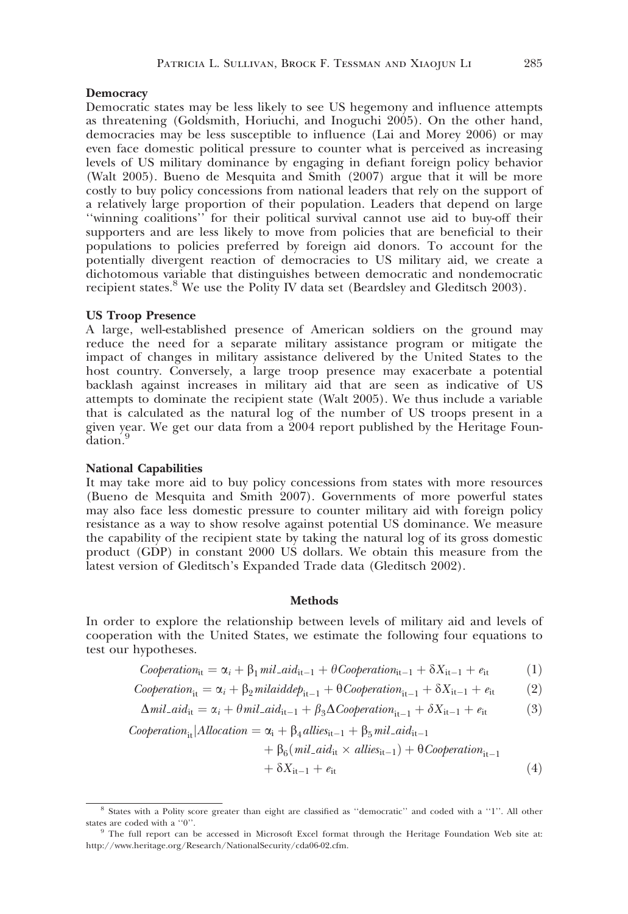# **Democracy**

Democratic states may be less likely to see US hegemony and influence attempts as threatening (Goldsmith, Horiuchi, and Inoguchi 2005). On the other hand, democracies may be less susceptible to influence (Lai and Morey 2006) or may even face domestic political pressure to counter what is perceived as increasing levels of US military dominance by engaging in defiant foreign policy behavior (Walt 2005). Bueno de Mesquita and Smith (2007) argue that it will be more costly to buy policy concessions from national leaders that rely on the support of a relatively large proportion of their population. Leaders that depend on large ''winning coalitions'' for their political survival cannot use aid to buy-off their supporters and are less likely to move from policies that are beneficial to their populations to policies preferred by foreign aid donors. To account for the potentially divergent reaction of democracies to US military aid, we create a dichotomous variable that distinguishes between democratic and nondemocratic recipient states.<sup>8</sup> We use the Polity IV data set (Beardsley and Gleditsch 2003).

## US Troop Presence

A large, well-established presence of American soldiers on the ground may reduce the need for a separate military assistance program or mitigate the impact of changes in military assistance delivered by the United States to the host country. Conversely, a large troop presence may exacerbate a potential backlash against increases in military aid that are seen as indicative of US attempts to dominate the recipient state (Walt 2005). We thus include a variable that is calculated as the natural log of the number of US troops present in a given year. We get our data from a 2004 report published by the Heritage Foundation.<sup>9</sup>

## National Capabilities

It may take more aid to buy policy concessions from states with more resources (Bueno de Mesquita and Smith 2007). Governments of more powerful states may also face less domestic pressure to counter military aid with foreign policy resistance as a way to show resolve against potential US dominance. We measure the capability of the recipient state by taking the natural log of its gross domestic product (GDP) in constant 2000 US dollars. We obtain this measure from the latest version of Gleditsch's Expanded Trade data (Gleditsch 2002).

# Methods

In order to explore the relationship between levels of military aid and levels of cooperation with the United States, we estimate the following four equations to test our hypotheses.

$$
Cooperation_{it} = \alpha_i + \beta_1 \, mil\_aid_{it-1} + \theta \, Cooperation_{it-1} + \delta X_{it-1} + e_{it} \tag{1}
$$

Cooperation<sub>it</sub> = 
$$
\alpha_i + \beta_2 \text{milaiddep}_{it-1} + \theta \text{Cooperation}_{it-1} + \delta X_{it-1} + e_{it}
$$
 (2)

$$
\Delta mil\_aid_{it} = \alpha_i + \theta mil\_aid_{it-1} + \beta_3 \Delta \text{Cooperation}_{it-1} + \delta X_{it-1} + e_{it}
$$
 (3)

$$
Cooperation_{it}|Allocation = \alpha_i + \beta_4 \text{allies}_{it-1} + \beta_5 \text{mil}\_\text{aid}_{it-1} + \beta_6 (\text{mil}\_\text{aid}_{it} \times \text{allies}_{it-1}) + \theta \text{Cooperation}_{it-1} + \delta X_{it-1} + e_{it}
$$
\n(4)

<sup>8</sup> States with a Polity score greater than eight are classified as ''democratic'' and coded with a ''1''. All other states are coded with a ''0''.

<sup>9</sup> The full report can be accessed in Microsoft Excel format through the Heritage Foundation Web site at: http://www.heritage.org/Research/NationalSecurity/cda06-02.cfm.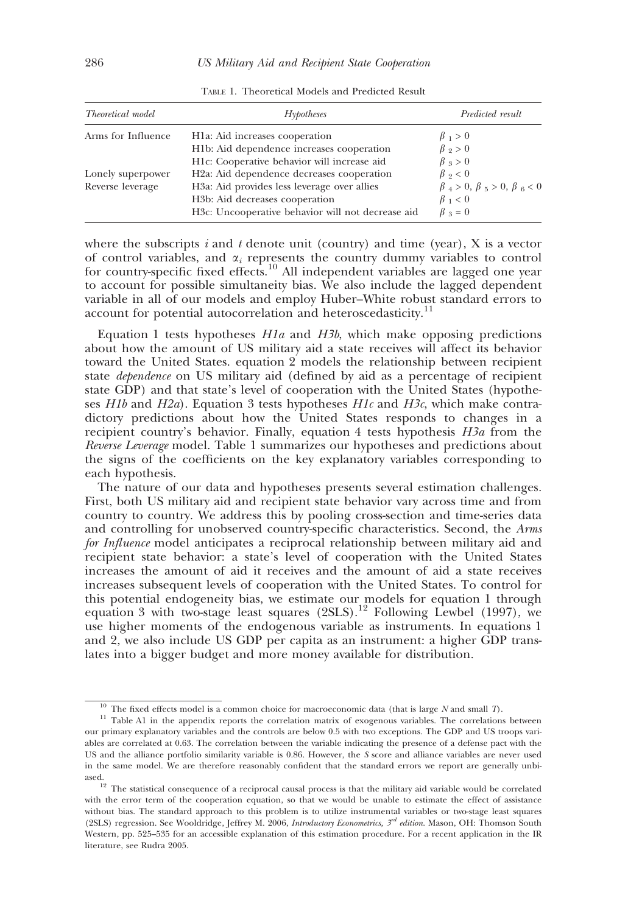| Theoretical model  | $H$ <i>ypotheses</i>                              | Predicted result                            |
|--------------------|---------------------------------------------------|---------------------------------------------|
| Arms for Influence | H1a: Aid increases cooperation                    | $\beta_{1}>0$                               |
|                    | H1b: Aid dependence increases cooperation         | $\beta$ $\geq 0$                            |
|                    | H1c: Cooperative behavior will increase aid       | $\beta$ 3 > 0                               |
| Lonely superpower  | H2a: Aid dependence decreases cooperation         | $\beta_2 < 0$                               |
| Reverse leverage   | H3a: Aid provides less leverage over allies       | $\beta$ 4 > 0, $\beta$ 5 > 0, $\beta$ 6 < 0 |
|                    | H <sub>3</sub> b: Aid decreases cooperation       | $\beta_1 < 0$                               |
|                    | H3c: Uncooperative behavior will not decrease aid | $\beta$ s = 0                               |

TABLE 1. Theoretical Models and Predicted Result

where the subscripts  $i$  and  $t$  denote unit (country) and time (year), X is a vector of control variables, and  $\alpha_i$  represents the country dummy variables to control for country-specific fixed effects.<sup>10</sup> All independent variables are lagged one year to account for possible simultaneity bias. We also include the lagged dependent variable in all of our models and employ Huber–White robust standard errors to account for potential autocorrelation and heteroscedasticity.<sup>11</sup>

Equation 1 tests hypotheses  $H1a$  and  $H3b$ , which make opposing predictions about how the amount of US military aid a state receives will affect its behavior toward the United States. equation 2 models the relationship between recipient state dependence on US military aid (defined by aid as a percentage of recipient state GDP) and that state's level of cooperation with the United States (hypotheses H1b and H2a). Equation 3 tests hypotheses H1c and H3c, which make contradictory predictions about how the United States responds to changes in a recipient country's behavior. Finally, equation 4 tests hypothesis  $H3a$  from the Reverse Leverage model. Table 1 summarizes our hypotheses and predictions about the signs of the coefficients on the key explanatory variables corresponding to each hypothesis.

The nature of our data and hypotheses presents several estimation challenges. First, both US military aid and recipient state behavior vary across time and from country to country. We address this by pooling cross-section and time-series data and controlling for unobserved country-specific characteristics. Second, the Arms for Influence model anticipates a reciprocal relationship between military aid and recipient state behavior: a state's level of cooperation with the United States increases the amount of aid it receives and the amount of aid a state receives increases subsequent levels of cooperation with the United States. To control for this potential endogeneity bias, we estimate our models for equation 1 through equation 3 with two-stage least squares  $(2SLS)$ .<sup>12</sup> Following Lewbel (1997), we use higher moments of the endogenous variable as instruments. In equations 1 and 2, we also include US GDP per capita as an instrument: a higher GDP translates into a bigger budget and more money available for distribution.

 $10$  The fixed effects model is a common choice for macroeconomic data (that is large N and small T).

<sup>&</sup>lt;sup>11</sup> Table A1 in the appendix reports the correlation matrix of exogenous variables. The correlations between our primary explanatory variables and the controls are below 0.5 with two exceptions. The GDP and US troops variables are correlated at 0.63. The correlation between the variable indicating the presence of a defense pact with the US and the alliance portfolio similarity variable is 0.86. However, the S score and alliance variables are never used in the same model. We are therefore reasonably confident that the standard errors we report are generally unbi-

ased.<br><sup>12</sup> The statistical consequence of a reciprocal causal process is that the military aid variable would be correlated with the error term of the cooperation equation, so that we would be unable to estimate the effect of assistance without bias. The standard approach to this problem is to utilize instrumental variables or two-stage least squares (2SLS) regression. See Wooldridge, Jeffrey M. 2006, *Introductory Econometrics,*  $3^{rd}$  edition. Mason, OH: Thomson South Western, pp. 525–535 for an accessible explanation of this estimation procedure. For a recent application in the IR literature, see Rudra 2005.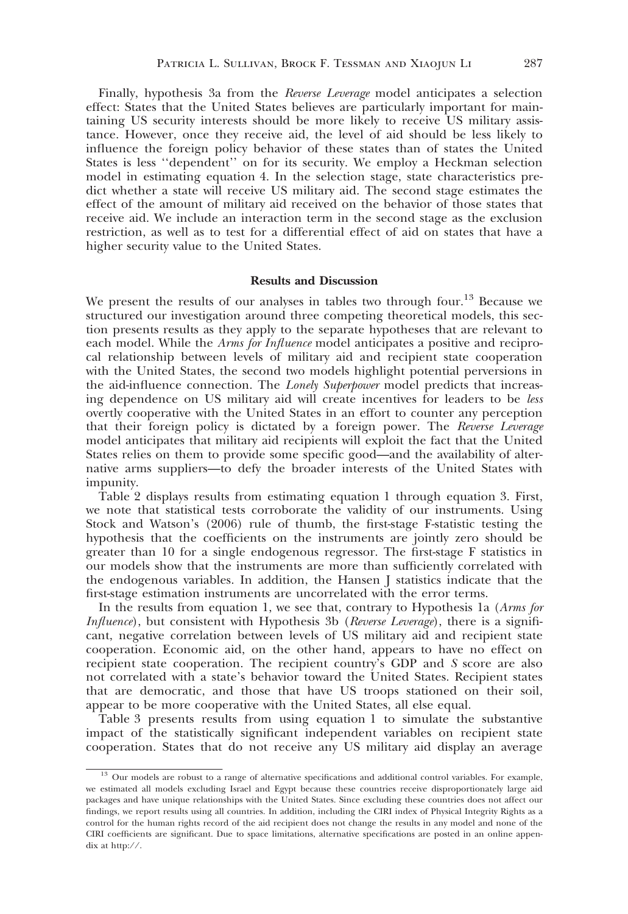Finally, hypothesis 3a from the Reverse Leverage model anticipates a selection effect: States that the United States believes are particularly important for maintaining US security interests should be more likely to receive US military assistance. However, once they receive aid, the level of aid should be less likely to influence the foreign policy behavior of these states than of states the United States is less ''dependent'' on for its security. We employ a Heckman selection model in estimating equation 4. In the selection stage, state characteristics predict whether a state will receive US military aid. The second stage estimates the effect of the amount of military aid received on the behavior of those states that receive aid. We include an interaction term in the second stage as the exclusion restriction, as well as to test for a differential effect of aid on states that have a higher security value to the United States.

# Results and Discussion

We present the results of our analyses in tables two through four.<sup>13</sup> Because we structured our investigation around three competing theoretical models, this section presents results as they apply to the separate hypotheses that are relevant to each model. While the *Arms for Influence* model anticipates a positive and reciprocal relationship between levels of military aid and recipient state cooperation with the United States, the second two models highlight potential perversions in the aid-influence connection. The Lonely Superpower model predicts that increasing dependence on US military aid will create incentives for leaders to be less overtly cooperative with the United States in an effort to counter any perception that their foreign policy is dictated by a foreign power. The Reverse Leverage model anticipates that military aid recipients will exploit the fact that the United States relies on them to provide some specific good—and the availability of alternative arms suppliers—to defy the broader interests of the United States with impunity.

Table 2 displays results from estimating equation 1 through equation 3. First, we note that statistical tests corroborate the validity of our instruments. Using Stock and Watson's (2006) rule of thumb, the first-stage F-statistic testing the hypothesis that the coefficients on the instruments are jointly zero should be greater than 10 for a single endogenous regressor. The first-stage F statistics in our models show that the instruments are more than sufficiently correlated with the endogenous variables. In addition, the Hansen J statistics indicate that the first-stage estimation instruments are uncorrelated with the error terms.

In the results from equation 1, we see that, contrary to Hypothesis 1a (Arms for Influence), but consistent with Hypothesis 3b (Reverse Leverage), there is a significant, negative correlation between levels of US military aid and recipient state cooperation. Economic aid, on the other hand, appears to have no effect on recipient state cooperation. The recipient country's GDP and S score are also not correlated with a state's behavior toward the United States. Recipient states that are democratic, and those that have US troops stationed on their soil, appear to be more cooperative with the United States, all else equal.

Table 3 presents results from using equation 1 to simulate the substantive impact of the statistically significant independent variables on recipient state cooperation. States that do not receive any US military aid display an average

<sup>&</sup>lt;sup>13</sup> Our models are robust to a range of alternative specifications and additional control variables. For example, we estimated all models excluding Israel and Egypt because these countries receive disproportionately large aid packages and have unique relationships with the United States. Since excluding these countries does not affect our findings, we report results using all countries. In addition, including the CIRI index of Physical Integrity Rights as a control for the human rights record of the aid recipient does not change the results in any model and none of the CIRI coefficients are significant. Due to space limitations, alternative specifications are posted in an online appendix at http://.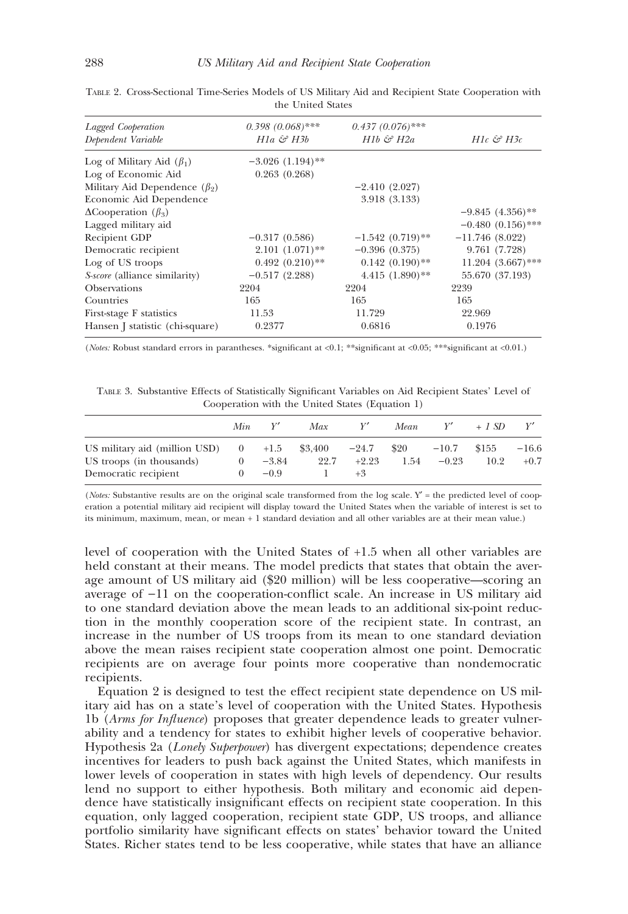| Lagged Cooperation                   | $0.398(0.068)$ ***              | $0.437(0.076)$ ***              |                        |  |  |
|--------------------------------------|---------------------------------|---------------------------------|------------------------|--|--|
| Dependent Variable                   | $H1a \mathrel{\mathcal{L}} H3b$ | $H1b \mathrel{\mathcal{L}} H2a$ | $H1c$ & $H3c$          |  |  |
| Log of Military Aid $(\beta_1)$      | $-3.026$ (1.194)**              |                                 |                        |  |  |
| Log of Economic Aid                  | 0.263(0.268)                    |                                 |                        |  |  |
| Military Aid Dependence $(\beta_2)$  |                                 | $-2.410(2.027)$                 |                        |  |  |
| Economic Aid Dependence              |                                 | 3.918 (3.133)                   |                        |  |  |
| $\Delta$ Cooperation ( $\beta_3$ )   |                                 |                                 | $-9.845(4.356)$ **     |  |  |
| Lagged military aid                  |                                 |                                 | $-0.480(0.156)$ ***    |  |  |
| Recipient GDP                        | $-0.317(0.586)$                 | $-1.542(0.719)$ **              | $-11.746(8.022)$       |  |  |
| Democratic recipient                 | $2.101(1.071)$ **               | $-0.396(0.375)$                 | 9.761 (7.728)          |  |  |
| Log of US troops                     | $0.492(0.210)$ **               | $0.142(0.190)$ **               | $11.204$ $(3.667)$ *** |  |  |
| <i>S-score</i> (alliance similarity) | $-0.517(2.288)$                 | $4.415(1.890)$ **               | 55.670 (37.193)        |  |  |
| Observations                         | 2204                            | 2204                            | 2239                   |  |  |
| Countries                            | 165                             | 165                             | 165                    |  |  |
| First-stage F statistics             | 11.53                           | 11.729                          | 22.969                 |  |  |
| Hansen J statistic (chi-square)      | 0.2377                          | 0.6816                          | 0.1976                 |  |  |
|                                      |                                 |                                 |                        |  |  |

TABLE 2. Cross-Sectional Time-Series Models of US Military Aid and Recipient State Cooperation with the United States

(Notes: Robust standard errors in parantheses. \*significant at <0.1; \*\*significant at <0.05; \*\*\*significant at <0.01.)

TABLE 3. Substantive Effects of Statistically Significant Variables on Aid Recipient States' Level of Cooperation with the United States (Equation 1)

|                                                                            |          | $Min \t Y'$ | $Max \t Y'$ |         |      | $Mean \t Y'$ | $+1SD$ |         |
|----------------------------------------------------------------------------|----------|-------------|-------------|---------|------|--------------|--------|---------|
| US military aid (million USD) $0 + 1.5$ \$3,400 $-24.7$ \$20 $-10.7$ \$155 |          |             |             |         |      |              |        | $-16.6$ |
| US troops (in thousands)                                                   | $\Omega$ | $-3.84$     | 22.7        | $+2.23$ | 1.54 | $-0.23$      | 10.2   | $+0.7$  |
| Democratic recipient                                                       |          | $0 -0.9$    |             |         |      |              |        |         |

(Notes: Substantive results are on the original scale transformed from the log scale.  $Y'$  = the predicted level of cooperation a potential military aid recipient will display toward the United States when the variable of interest is set to its minimum, maximum, mean, or mean + 1 standard deviation and all other variables are at their mean value.)

level of cooperation with the United States of +1.5 when all other variables are held constant at their means. The model predicts that states that obtain the average amount of US military aid (\$20 million) will be less cooperative—scoring an average of  $-11$  on the cooperation-conflict scale. An increase in US military aid to one standard deviation above the mean leads to an additional six-point reduction in the monthly cooperation score of the recipient state. In contrast, an increase in the number of US troops from its mean to one standard deviation above the mean raises recipient state cooperation almost one point. Democratic recipients are on average four points more cooperative than nondemocratic recipients.

Equation 2 is designed to test the effect recipient state dependence on US military aid has on a state's level of cooperation with the United States. Hypothesis 1b (Arms for Influence) proposes that greater dependence leads to greater vulnerability and a tendency for states to exhibit higher levels of cooperative behavior. Hypothesis 2a (Lonely Superpower) has divergent expectations; dependence creates incentives for leaders to push back against the United States, which manifests in lower levels of cooperation in states with high levels of dependency. Our results lend no support to either hypothesis. Both military and economic aid dependence have statistically insignificant effects on recipient state cooperation. In this equation, only lagged cooperation, recipient state GDP, US troops, and alliance portfolio similarity have significant effects on states' behavior toward the United States. Richer states tend to be less cooperative, while states that have an alliance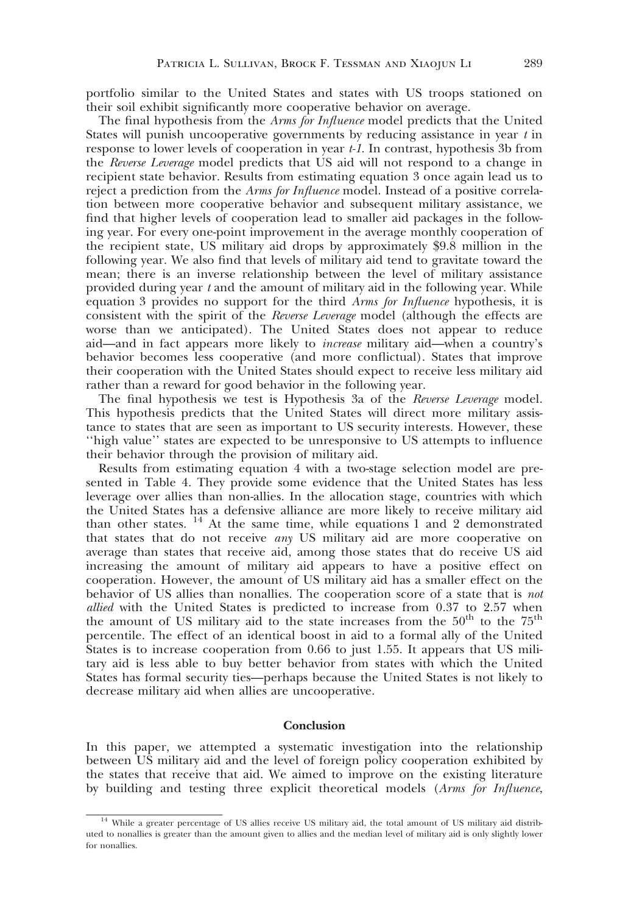portfolio similar to the United States and states with US troops stationed on their soil exhibit significantly more cooperative behavior on average.

The final hypothesis from the Arms for Influence model predicts that the United States will punish uncooperative governments by reducing assistance in year  $t$  in response to lower levels of cooperation in year t-1. In contrast, hypothesis 3b from the Reverse Leverage model predicts that US aid will not respond to a change in recipient state behavior. Results from estimating equation 3 once again lead us to reject a prediction from the Arms for Influence model. Instead of a positive correlation between more cooperative behavior and subsequent military assistance, we find that higher levels of cooperation lead to smaller aid packages in the following year. For every one-point improvement in the average monthly cooperation of the recipient state, US military aid drops by approximately \$9.8 million in the following year. We also find that levels of military aid tend to gravitate toward the mean; there is an inverse relationship between the level of military assistance provided during year t and the amount of military aid in the following year. While equation 3 provides no support for the third Arms for Influence hypothesis, it is consistent with the spirit of the Reverse Leverage model (although the effects are worse than we anticipated). The United States does not appear to reduce aid—and in fact appears more likely to increase military aid—when a country's behavior becomes less cooperative (and more conflictual). States that improve their cooperation with the United States should expect to receive less military aid rather than a reward for good behavior in the following year.

The final hypothesis we test is Hypothesis 3a of the Reverse Leverage model. This hypothesis predicts that the United States will direct more military assistance to states that are seen as important to US security interests. However, these ''high value'' states are expected to be unresponsive to US attempts to influence their behavior through the provision of military aid.

Results from estimating equation 4 with a two-stage selection model are presented in Table 4. They provide some evidence that the United States has less leverage over allies than non-allies. In the allocation stage, countries with which the United States has a defensive alliance are more likely to receive military aid than other states.  $^{14}$  At the same time, while equations 1 and 2 demonstrated that states that do not receive any US military aid are more cooperative on average than states that receive aid, among those states that do receive US aid increasing the amount of military aid appears to have a positive effect on cooperation. However, the amount of US military aid has a smaller effect on the behavior of US allies than nonallies. The cooperation score of a state that is not allied with the United States is predicted to increase from 0.37 to 2.57 when the amount of US military aid to the state increases from the  $50^{\rm th}$  to the  $75^{\rm th}$ percentile. The effect of an identical boost in aid to a formal ally of the United States is to increase cooperation from 0.66 to just 1.55. It appears that US military aid is less able to buy better behavior from states with which the United States has formal security ties—perhaps because the United States is not likely to decrease military aid when allies are uncooperative.

# **Conclusion**

In this paper, we attempted a systematic investigation into the relationship between US military aid and the level of foreign policy cooperation exhibited by the states that receive that aid. We aimed to improve on the existing literature by building and testing three explicit theoretical models (Arms for Influence,

<sup>&</sup>lt;sup>14</sup> While a greater percentage of US allies receive US military aid, the total amount of US military aid distributed to nonallies is greater than the amount given to allies and the median level of military aid is only slightly lower for nonallies.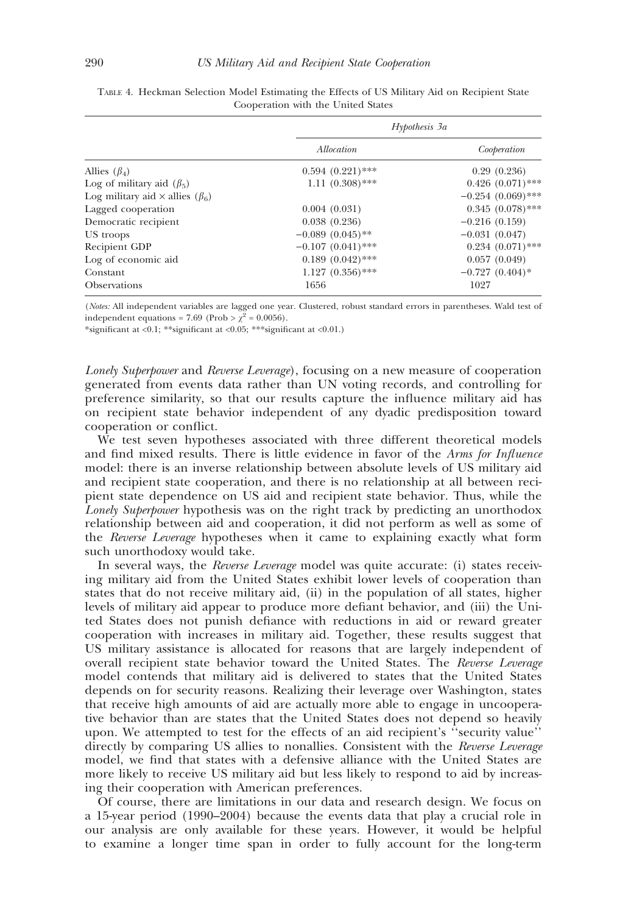|                                                | Hypothesis 3a       |                     |  |  |
|------------------------------------------------|---------------------|---------------------|--|--|
|                                                | <i>Allocation</i>   | Cooperation         |  |  |
| Allies $(\beta_4)$                             | $0.594(0.221)$ ***  | 0.29(0.236)         |  |  |
| Log of military aid $(\beta_5)$                | $1.11(0.308)$ ***   | $0.426(0.071)$ ***  |  |  |
| Log military aid $\times$ allies ( $\beta_6$ ) |                     | $-0.254(0.069)$ *** |  |  |
| Lagged cooperation                             | 0.004(0.031)        | $0.345(0.078)$ ***  |  |  |
| Democratic recipient                           | 0.038(0.236)        | $-0.216(0.159)$     |  |  |
| US troops                                      | $-0.089(0.045)$ **  | $-0.031(0.047)$     |  |  |
| Recipient GDP                                  | $-0.107(0.041)$ *** | $0.234(0.071)$ ***  |  |  |
| Log of economic aid                            | $0.189(0.042)$ ***  | 0.057(0.049)        |  |  |
| Constant                                       | $1.127(0.356)$ ***  | $-0.727(0.404)$ *   |  |  |
| <b>Observations</b>                            | 1656                | 1027                |  |  |

TABLE 4. Heckman Selection Model Estimating the Effects of US Military Aid on Recipient State Cooperation with the United States

(Notes: All independent variables are lagged one year. Clustered, robust standard errors in parentheses. Wald test of independent equations = 7.69 (Prob >  $\chi^2$  = 0.0056).

\*significant at <0.1; \*\*significant at <0.05; \*\*\*significant at <0.01.)

Lonely Superpower and Reverse Leverage), focusing on a new measure of cooperation generated from events data rather than UN voting records, and controlling for preference similarity, so that our results capture the influence military aid has on recipient state behavior independent of any dyadic predisposition toward cooperation or conflict.

We test seven hypotheses associated with three different theoretical models and find mixed results. There is little evidence in favor of the Arms for Influence model: there is an inverse relationship between absolute levels of US military aid and recipient state cooperation, and there is no relationship at all between recipient state dependence on US aid and recipient state behavior. Thus, while the Lonely Superpower hypothesis was on the right track by predicting an unorthodox relationship between aid and cooperation, it did not perform as well as some of the Reverse Leverage hypotheses when it came to explaining exactly what form such unorthodoxy would take.

In several ways, the Reverse Leverage model was quite accurate: (i) states receiving military aid from the United States exhibit lower levels of cooperation than states that do not receive military aid, (ii) in the population of all states, higher levels of military aid appear to produce more defiant behavior, and (iii) the United States does not punish defiance with reductions in aid or reward greater cooperation with increases in military aid. Together, these results suggest that US military assistance is allocated for reasons that are largely independent of overall recipient state behavior toward the United States. The Reverse Leverage model contends that military aid is delivered to states that the United States depends on for security reasons. Realizing their leverage over Washington, states that receive high amounts of aid are actually more able to engage in uncooperative behavior than are states that the United States does not depend so heavily upon. We attempted to test for the effects of an aid recipient's ''security value'' directly by comparing US allies to nonallies. Consistent with the Reverse Leverage model, we find that states with a defensive alliance with the United States are more likely to receive US military aid but less likely to respond to aid by increasing their cooperation with American preferences.

Of course, there are limitations in our data and research design. We focus on a 15-year period (1990–2004) because the events data that play a crucial role in our analysis are only available for these years. However, it would be helpful to examine a longer time span in order to fully account for the long-term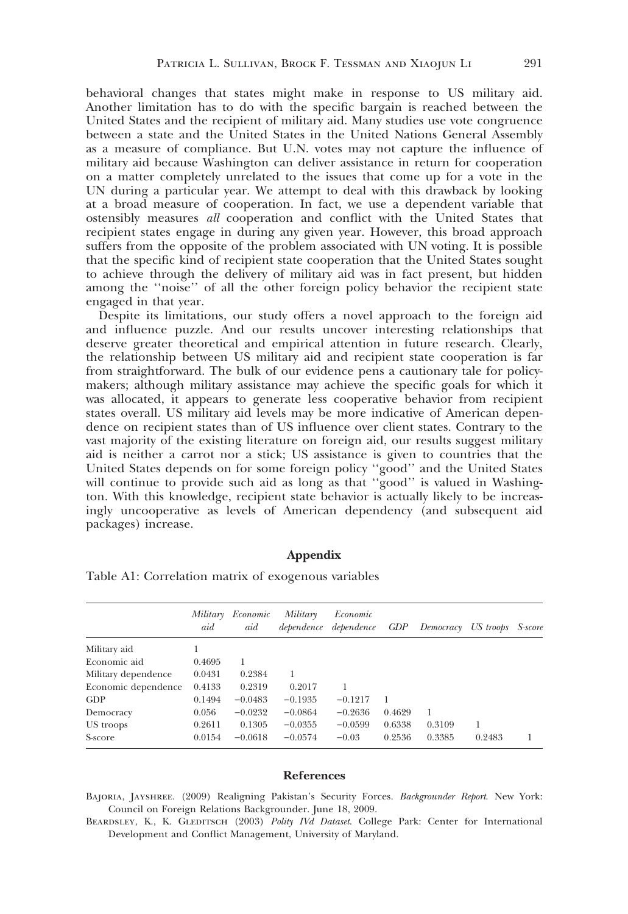behavioral changes that states might make in response to US military aid. Another limitation has to do with the specific bargain is reached between the United States and the recipient of military aid. Many studies use vote congruence between a state and the United States in the United Nations General Assembly as a measure of compliance. But U.N. votes may not capture the influence of military aid because Washington can deliver assistance in return for cooperation on a matter completely unrelated to the issues that come up for a vote in the UN during a particular year. We attempt to deal with this drawback by looking at a broad measure of cooperation. In fact, we use a dependent variable that ostensibly measures all cooperation and conflict with the United States that recipient states engage in during any given year. However, this broad approach suffers from the opposite of the problem associated with UN voting. It is possible that the specific kind of recipient state cooperation that the United States sought to achieve through the delivery of military aid was in fact present, but hidden among the ''noise'' of all the other foreign policy behavior the recipient state engaged in that year.

Despite its limitations, our study offers a novel approach to the foreign aid and influence puzzle. And our results uncover interesting relationships that deserve greater theoretical and empirical attention in future research. Clearly, the relationship between US military aid and recipient state cooperation is far from straightforward. The bulk of our evidence pens a cautionary tale for policymakers; although military assistance may achieve the specific goals for which it was allocated, it appears to generate less cooperative behavior from recipient states overall. US military aid levels may be more indicative of American dependence on recipient states than of US influence over client states. Contrary to the vast majority of the existing literature on foreign aid, our results suggest military aid is neither a carrot nor a stick; US assistance is given to countries that the United States depends on for some foreign policy ''good'' and the United States will continue to provide such aid as long as that ''good'' is valued in Washington. With this knowledge, recipient state behavior is actually likely to be increasingly uncooperative as levels of American dependency (and subsequent aid packages) increase.

# Appendix

|                     | Military<br>aid | Economic<br>aid | Military  | Economic<br>dependence dependence | <b>GDP</b> | Democracy | US troops S-score |  |
|---------------------|-----------------|-----------------|-----------|-----------------------------------|------------|-----------|-------------------|--|
| Military aid        |                 |                 |           |                                   |            |           |                   |  |
| Economic aid        | 0.4695          |                 |           |                                   |            |           |                   |  |
| Military dependence | 0.0431          | 0.2384          |           |                                   |            |           |                   |  |
| Economic dependence | 0.4133          | 0.2319          | 0.2017    |                                   |            |           |                   |  |
| <b>GDP</b>          | 0.1494          | $-0.0483$       | $-0.1935$ | $-0.1217$                         | 1          |           |                   |  |
| Democracy           | 0.056           | $-0.0232$       | $-0.0864$ | $-0.2636$                         | 0.4629     | 1         |                   |  |
| US troops           | 0.2611          | 0.1305          | $-0.0355$ | $-0.0599$                         | 0.6338     | 0.3109    |                   |  |
| S-score             | 0.0154          | $-0.0618$       | $-0.0574$ | $-0.03$                           | 0.2536     | 0.3385    | 0.2483            |  |

Table A1: Correlation matrix of exogenous variables

#### References

Bajoria, Jayshree. (2009) Realigning Pakistan's Security Forces. Backgrounder Report. New York: Council on Foreign Relations Backgrounder. June 18, 2009.

BEARDSLEY, K., K. GLEDITSCH (2003) Polity IVd Dataset. College Park: Center for International Development and Conflict Management, University of Maryland.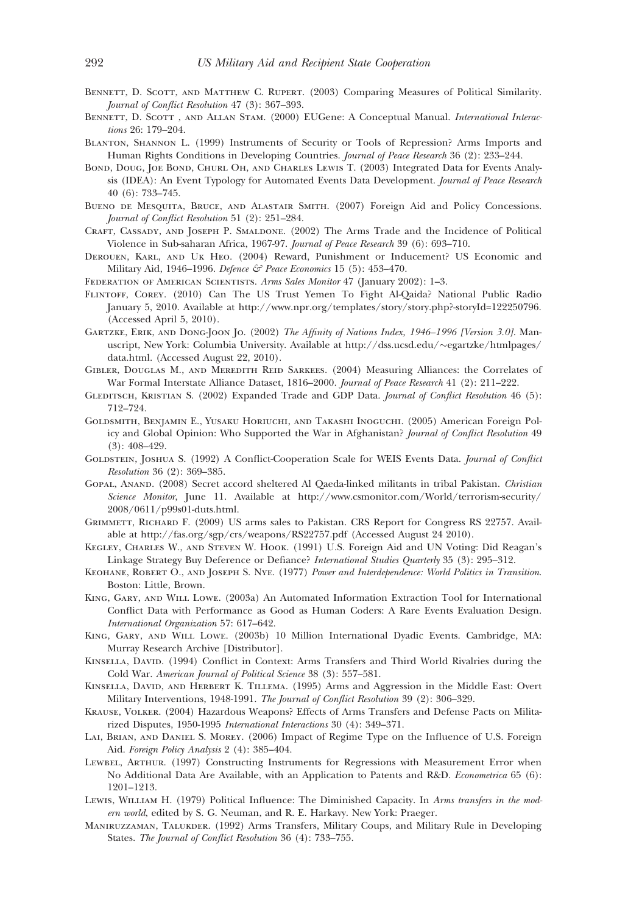- BENNETT, D. SCOTT, AND MATTHEW C. RUPERT. (2003) Comparing Measures of Political Similarity. Journal of Conflict Resolution 47 (3): 367–393.
- BENNETT, D. SCOTT, AND ALLAN STAM. (2000) EUGene: A Conceptual Manual. International Interactions 26: 179–204.
- Blanton, Shannon L. (1999) Instruments of Security or Tools of Repression? Arms Imports and Human Rights Conditions in Developing Countries. Journal of Peace Research 36 (2): 233–244.
- BOND, DOUG, JOE BOND, CHURL OH, AND CHARLES LEWIS T. (2003) Integrated Data for Events Analysis (IDEA): An Event Typology for Automated Events Data Development. Journal of Peace Research 40 (6): 733–745.
- Bueno de Mesquita, Bruce, and Alastair Smith. (2007) Foreign Aid and Policy Concessions. Journal of Conflict Resolution 51 (2): 251–284.
- Craft, Cassady, and Joseph P. Smaldone. (2002) The Arms Trade and the Incidence of Political Violence in Sub-saharan Africa, 1967-97. Journal of Peace Research 39 (6): 693–710.
- Derouen, Karl, and Uk Heo. (2004) Reward, Punishment or Inducement? US Economic and Military Aid, 1946–1996. Defence & Peace Economics 15 (5): 453–470.
- Federation of American Scientists. Arms Sales Monitor 47 (January 2002): 1–3.
- Flintoff, Corey. (2010) Can The US Trust Yemen To Fight Al-Qaida? National Public Radio January 5, 2010. Available at http://www.npr.org/templates/story/story.php?-storyId=122250796. (Accessed April 5, 2010).
- Gartzke, Erik, and Dong-Joon Jo. (2002) The Affinity of Nations Index, 1946–1996 [Version 3.0]. Manuscript, New York: Columbia University. Available at http://dss.ucsd.edu/-egartzke/htmlpages/ data.html. (Accessed August 22, 2010).
- Gibler, Douglas M., and Meredith Reid Sarkees. (2004) Measuring Alliances: the Correlates of War Formal Interstate Alliance Dataset, 1816–2000. Journal of Peace Research 41 (2): 211–222.
- GLEDITSCH, KRISTIAN S. (2002) Expanded Trade and GDP Data. Journal of Conflict Resolution 46 (5): 712–724.
- Goldsmith, Benjamin E., Yusaku Horiuchi, and Takashi Inoguchi. (2005) American Foreign Policy and Global Opinion: Who Supported the War in Afghanistan? Journal of Conflict Resolution 49 (3): 408–429.
- GOLDSTEIN, JOSHUA S. (1992) A Conflict-Cooperation Scale for WEIS Events Data. Journal of Conflict Resolution 36 (2): 369–385.
- Gopal, Anand. (2008) Secret accord sheltered Al Qaeda-linked militants in tribal Pakistan. Christian Science Monitor, June 11. Available at http://www.csmonitor.com/World/terrorism-security/ 2008/0611/p99s01-duts.html.
- GRIMMETT, RICHARD F. (2009) US arms sales to Pakistan. CRS Report for Congress RS 22757. Available at http://fas.org/sgp/crs/weapons/RS22757.pdf (Accessed August 24 2010).
- Kegley, Charles W., and Steven W. Hook. (1991) U.S. Foreign Aid and UN Voting: Did Reagan's Linkage Strategy Buy Deference or Defiance? International Studies Quarterly 35 (3): 295–312.
- Keohane, Robert O., and Joseph S. Nye. (1977) Power and Interdependence: World Politics in Transition. Boston: Little, Brown.
- King, Gary, and Will Lowe. (2003a) An Automated Information Extraction Tool for International Conflict Data with Performance as Good as Human Coders: A Rare Events Evaluation Design. International Organization 57: 617–642.
- King, Gary, and Will Lowe. (2003b) 10 Million International Dyadic Events. Cambridge, MA: Murray Research Archive [Distributor].
- Kinsella, David. (1994) Conflict in Context: Arms Transfers and Third World Rivalries during the Cold War. American Journal of Political Science 38 (3): 557–581.
- KINSELLA, DAVID, AND HERBERT K. TILLEMA. (1995) Arms and Aggression in the Middle East: Overt Military Interventions, 1948-1991. The Journal of Conflict Resolution 39 (2): 306–329.
- Krause, Volker. (2004) Hazardous Weapons? Effects of Arms Transfers and Defense Pacts on Militarized Disputes, 1950-1995 International Interactions 30 (4): 349–371.
- Lai, Brian, and Daniel S. Morey. (2006) Impact of Regime Type on the Influence of U.S. Foreign Aid. Foreign Policy Analysis 2 (4): 385–404.
- LEWBEL, ARTHUR. (1997) Constructing Instruments for Regressions with Measurement Error when No Additional Data Are Available, with an Application to Patents and R&D. Econometrica 65 (6): 1201–1213.
- Lewis, William H. (1979) Political Influence: The Diminished Capacity. In Arms transfers in the modern world, edited by S. G. Neuman, and R. E. Harkavy. New York: Praeger.
- Maniruzzaman, Talukder. (1992) Arms Transfers, Military Coups, and Military Rule in Developing States. The Journal of Conflict Resolution 36 (4): 733–755.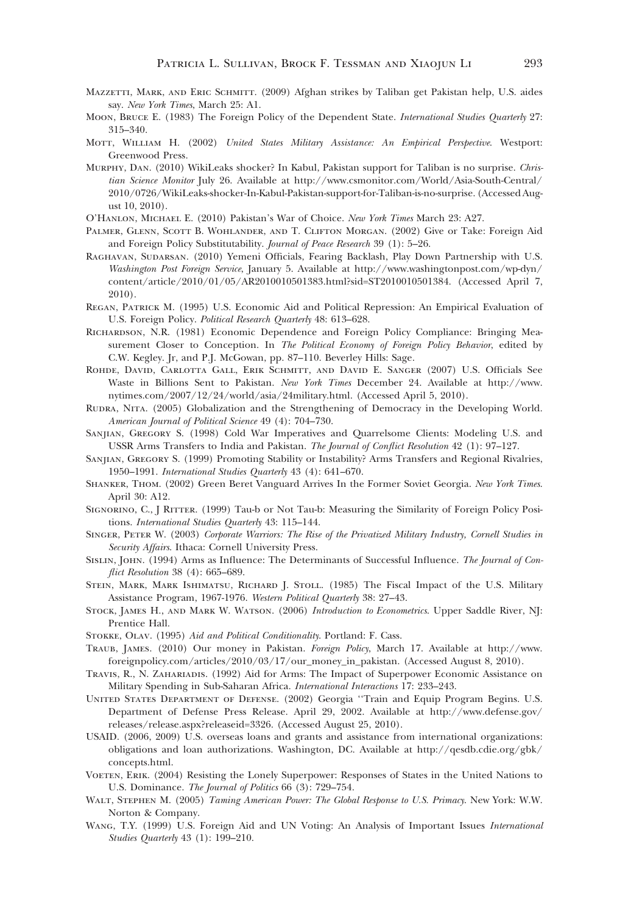- MAZZETTI, MARK, AND ERIC SCHMITT. (2009) Afghan strikes by Taliban get Pakistan help, U.S. aides say. New York Times, March 25: A1.
- Moon, Bruce E. (1983) The Foreign Policy of the Dependent State. International Studies Quarterly 27: 315–340.
- MOTT, WILLIAM H. (2002) United States Military Assistance: An Empirical Perspective. Westport: Greenwood Press.
- Murphy, Dan. (2010) WikiLeaks shocker? In Kabul, Pakistan support for Taliban is no surprise. Christian Science Monitor July 26. Available at http://www.csmonitor.com/World/Asia-South-Central/ 2010/0726/WikiLeaks-shocker-In-Kabul-Pakistan-support-for-Taliban-is-no-surprise. (Accessed August 10, 2010).
- O'Hanlon, Michael E. (2010) Pakistan's War of Choice. New York Times March 23: A27.
- Palmer, Glenn, Scott B. Wohlander, and T. Clifton Morgan. (2002) Give or Take: Foreign Aid and Foreign Policy Substitutability. Journal of Peace Research 39 (1): 5–26.
- Raghavan, Sudarsan. (2010) Yemeni Officials, Fearing Backlash, Play Down Partnership with U.S. Washington Post Foreign Service, January 5. Available at http://www.washingtonpost.com/wp-dyn/ content/article/2010/01/05/AR2010010501383.html?sid=ST2010010501384. (Accessed April 7, 2010).
- Regan, Patrick M. (1995) U.S. Economic Aid and Political Repression: An Empirical Evaluation of U.S. Foreign Policy. Political Research Quarterly 48: 613–628.
- Richardson, N.R. (1981) Economic Dependence and Foreign Policy Compliance: Bringing Measurement Closer to Conception. In The Political Economy of Foreign Policy Behavior, edited by C.W. Kegley. Jr, and P.J. McGowan, pp. 87–110. Beverley Hills: Sage.
- Rohde, David, Carlotta Gall, Erik Schmitt, and David E. Sanger (2007) U.S. Officials See Waste in Billions Sent to Pakistan. New York Times December 24. Available at http://www. nytimes.com/2007/12/24/world/asia/24military.html. (Accessed April 5, 2010).
- Rudra, Nita. (2005) Globalization and the Strengthening of Democracy in the Developing World. American Journal of Political Science 49 (4): 704–730.
- Sanjian, Gregory S. (1998) Cold War Imperatives and Quarrelsome Clients: Modeling U.S. and USSR Arms Transfers to India and Pakistan. The Journal of Conflict Resolution 42 (1): 97–127.
- Sanjian, Gregory S. (1999) Promoting Stability or Instability? Arms Transfers and Regional Rivalries, 1950–1991. International Studies Quarterly 43 (4): 641–670.
- SHANKER, THOM. (2002) Green Beret Vanguard Arrives In the Former Soviet Georgia. New York Times. April 30: A12.
- SIGNORINO, C., J RITTER. (1999) Tau-b or Not Tau-b: Measuring the Similarity of Foreign Policy Positions. International Studies Quarterly 43: 115–144.
- Singer, Peter W. (2003) Corporate Warriors: The Rise of the Privatized Military Industry, Cornell Studies in Security Affairs. Ithaca: Cornell University Press.
- Sislin, John. (1994) Arms as Influence: The Determinants of Successful Influence. The Journal of Conflict Resolution 38 (4): 665-689.
- Stein, Mark, Mark Ishimatsu, Richard J. Stoll. (1985) The Fiscal Impact of the U.S. Military Assistance Program, 1967-1976. Western Political Quarterly 38: 27–43.
- Stock, James H., and Mark W. Watson. (2006) Introduction to Econometrics. Upper Saddle River, NJ: Prentice Hall.
- STOKKE, OLAV. (1995) Aid and Political Conditionality. Portland: F. Cass.
- Traub, James. (2010) Our money in Pakistan. Foreign Policy, March 17. Available at http://www. foreignpolicy.com/articles/2010/03/17/our\_money\_in\_pakistan. (Accessed August 8, 2010).
- Travis, R., N. Zahariadis. (1992) Aid for Arms: The Impact of Superpower Economic Assistance on Military Spending in Sub-Saharan Africa. International Interactions 17: 233–243.
- United States Department of Defense. (2002) Georgia ''Train and Equip Program Begins. U.S. Department of Defense Press Release. April 29, 2002. Available at http://www.defense.gov/ releases/release.aspx?releaseid=3326. (Accessed August 25, 2010).
- USAID. (2006, 2009) U.S. overseas loans and grants and assistance from international organizations: obligations and loan authorizations. Washington, DC. Available at http://qesdb.cdie.org/gbk/ concepts.html.
- VOETEN, ERIK. (2004) Resisting the Lonely Superpower: Responses of States in the United Nations to U.S. Dominance. The Journal of Politics 66 (3): 729–754.
- WALT, STEPHEN M. (2005) Taming American Power: The Global Response to U.S. Primacy. New York: W.W. Norton & Company.
- Wang, T.Y. (1999) U.S. Foreign Aid and UN Voting: An Analysis of Important Issues International Studies Quarterly 43 (1): 199–210.